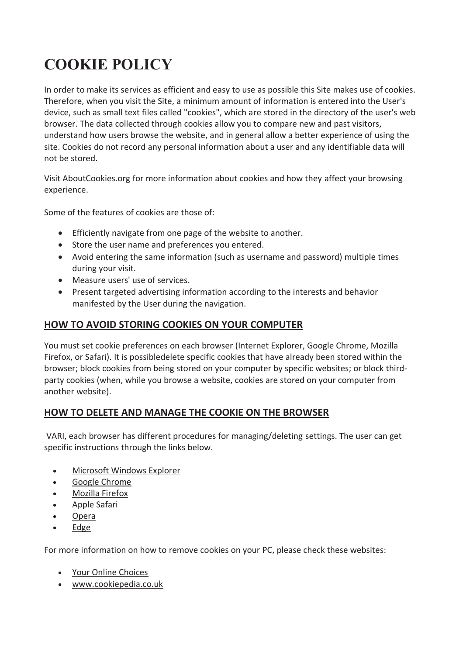# **COOKIE POLICY**

In order to make its services as efficient and easy to use as possible this Site makes use of cookies. Therefore, when you visit the Site, a minimum amount of information is entered into the User's device, such as small text files called "cookies", which are stored in the directory of the user's web browser. The data collected through cookies allow you to compare new and past visitors, understand how users browse the website, and in general allow a better experience of using the site. Cookies do not record any personal information about a user and any identifiable data will not be stored.

Visit AboutCookies.org for more information about cookies and how they affect your browsing experience.

Some of the features of cookies are those of:

- Efficiently navigate from one page of the website to another.
- Store the user name and preferences you entered.
- Avoid entering the same information (such as username and password) multiple times during your visit.
- Measure users' use of services.
- Present targeted advertising information according to the interests and behavior manifested by the User during the navigation.

## **HOW TO AVOID STORING COOKIES ON YOUR COMPUTER**

You must set cookie preferences on each browser (Internet Explorer, Google Chrome, Mozilla Firefox, or Safari). It is possibledelete specific cookies that have already been stored within the browser; block cookies from being stored on your computer by specific websites; or block thirdparty cookies (when, while you browse a website, cookies are stored on your computer from another website).

## **HOW TO DELETE AND MANAGE THE COOKIE ON THE BROWSER**

VARI, each browser has different procedures for managing/deleting settings. The user can get specific instructions through the links below.

- Microsoft Windows Explorer
- Google Chrome
- Mozilla Firefox
- Apple Safari
- Opera
- Edge

For more information on how to remove cookies on your PC, please check these websites:

- Your Online Choices
- www.cookiepedia.co.uk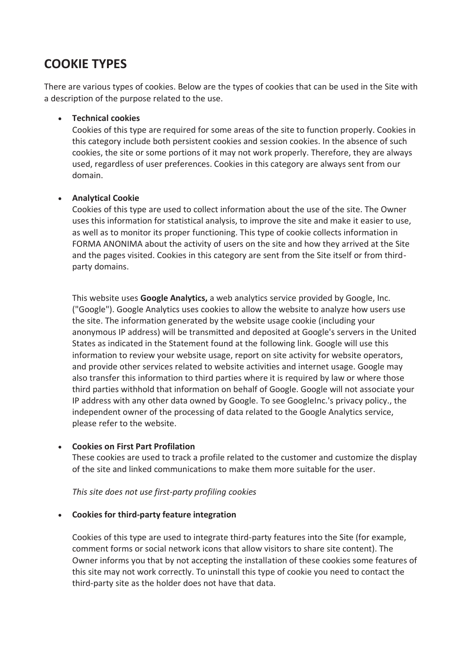# **COOKIE TYPES**

There are various types of cookies. Below are the types of cookies that can be used in the Site with a description of the purpose related to the use.

#### **Technical cookies**

Cookies of this type are required for some areas of the site to function properly. Cookies in this category include both persistent cookies and session cookies. In the absence of such cookies, the site or some portions of it may not work properly. Therefore, they are always used, regardless of user preferences. Cookies in this category are always sent from our domain.

#### **Analytical Cookie**

Cookies of this type are used to collect information about the use of the site. The Owner uses this information for statistical analysis, to improve the site and make it easier to use, as well as to monitor its proper functioning. This type of cookie collects information in FORMA ANONIMA about the activity of users on the site and how they arrived at the Site and the pages visited. Cookies in this category are sent from the Site itself or from thirdparty domains.

This website uses **Google Analytics,** a web analytics service provided by Google, Inc. ("Google"). Google Analytics uses cookies to allow the website to analyze how users use the site. The information generated by the website usage cookie (including your anonymous IP address) will be transmitted and deposited at Google's servers in the United States as indicated in the Statement found at the following link. Google will use this information to review your website usage, report on site activity for website operators, and provide other services related to website activities and internet usage. Google may also transfer this information to third parties where it is required by law or where those third parties withhold that information on behalf of Google. Google will not associate your IP address with any other data owned by Google. To see GoogleInc.'s privacy policy., the independent owner of the processing of data related to the Google Analytics service, please refer to the website.

#### **Cookies on First Part Profilation**

These cookies are used to track a profile related to the customer and customize the display of the site and linked communications to make them more suitable for the user.

*This site does not use first-party profiling cookies*

#### **Cookies for third-party feature integration**

Cookies of this type are used to integrate third-party features into the Site (for example, comment forms or social network icons that allow visitors to share site content). The Owner informs you that by not accepting the installation of these cookies some features of this site may not work correctly. To uninstall this type of cookie you need to contact the third-party site as the holder does not have that data.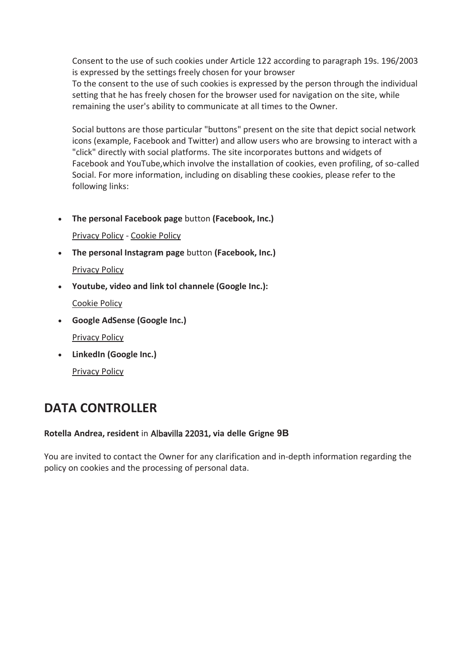Consent to the use of such cookies under Article 122 according to paragraph 19s. 196/2003 is expressed by the settings freely chosen for your browser

To the consent to the use of such cookies is expressed by the person through the individual setting that he has freely chosen for the browser used for navigation on the site, while remaining the user's ability to communicate at all times to the Owner.

Social buttons are those particular "buttons" present on the site that depict social network icons (example, Facebook and Twitter) and allow users who are browsing to interact with a "click" directly with social platforms. The site incorporates buttons and widgets of Facebook and YouTube,which involve the installation of cookies, even profiling, of so-called Social. For more information, including on disabling these cookies, please refer to the following links:

**The personal Facebook page** button **(Facebook, Inc.)**

Privacy Policy - Cookie Policy

**The personal Instagram page** button **(Facebook, Inc.)**

Privacy Policy

**Youtube, video and link tol channele (Google Inc.):**

Cookie Policy

- **Google AdSense (Google Inc.)** Privacy Policy
- **LinkedIn (Google Inc.)** Privacy Policy

# **DATA CONTROLLER**

#### **Rotella Andrea, resident** in Albavilla 22031**, via delle Grigne 9B**

You are invited to contact the Owner for any clarification and in-depth information regarding the policy on cookies and the processing of personal data.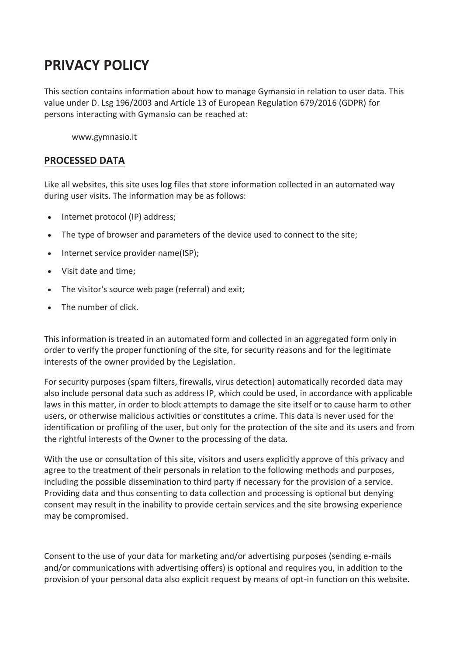# **PRIVACY POLICY**

This section contains information about how to manage Gymansio in relation to user data. This value under D. Lsg 196/2003 and Article 13 of European Regulation 679/2016 (GDPR) for persons interacting with Gymansio can be reached at:

www.gymnasio.it

#### **PROCESSED DATA**

Like all websites, this site uses log files that store information collected in an automated way during user visits. The information may be as follows:

- Internet protocol (IP) address;
- The type of browser and parameters of the device used to connect to the site;
- Internet service provider name(ISP);
- Visit date and time;
- The visitor's source web page (referral) and exit;
- The number of click.

This information is treated in an automated form and collected in an aggregated form only in order to verify the proper functioning of the site, for security reasons and for the legitimate interests of the owner provided by the Legislation.

For security purposes (spam filters, firewalls, virus detection) automatically recorded data may also include personal data such as address IP, which could be used, in accordance with applicable laws in this matter, in order to block attempts to damage the site itself or to cause harm to other users, or otherwise malicious activities or constitutes a crime. This data is never used for the identification or profiling of the user, but only for the protection of the site and its users and from the rightful interests of the Owner to the processing of the data.

With the use or consultation of this site, visitors and users explicitly approve of this privacy and agree to the treatment of their personals in relation to the following methods and purposes, including the possible dissemination to third party if necessary for the provision of a service. Providing data and thus consenting to data collection and processing is optional but denying consent may result in the inability to provide certain services and the site browsing experience may be compromised.

Consent to the use of your data for marketing and/or advertising purposes (sending e-mails and/or communications with advertising offers) is optional and requires you, in addition to the provision of your personal data also explicit request by means of opt-in function on this website.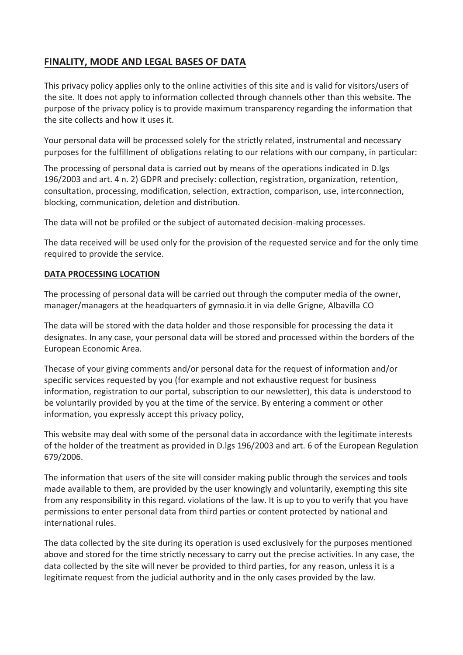# **FINALITY, MODE AND LEGAL BASES OF DATA**

This privacy policy applies only to the online activities of this site and is valid for visitors/users of the site. It does not apply to information collected through channels other than this website. The purpose of the privacy policy is to provide maximum transparency regarding the information that the site collects and how it uses it.

Your personal data will be processed solely for the strictly related, instrumental and necessary purposes for the fulfillment of obligations relating to our relations with our company, in particular:

The processing of personal data is carried out by means of the operations indicated in D.lgs 196/2003 and art. 4 n. 2) GDPR and precisely: collection, registration, organization, retention, consultation, processing, modification, selection, extraction, comparison, use, interconnection, blocking, communication, deletion and distribution.

The data will not be profiled or the subject of automated decision-making processes.

The data received will be used only for the provision of the requested service and for the only time required to provide the service.

#### **DATA PROCESSING LOCATION**

The processing of personal data will be carried out through the computer media of the owner, manager/managers at the headquarters of gymnasio.it in via delle Grigne, Albavilla CO

The data will be stored with the data holder and those responsible for processing the data it designates. In any case, your personal data will be stored and processed within the borders of the European Economic Area.

Thecase of your giving comments and/or personal data for the request of information and/or specific services requested by you (for example and not exhaustive request for business information, registration to our portal, subscription to our newsletter), this data is understood to be voluntarily provided by you at the time of the service. By entering a comment or other information, you expressly accept this privacy policy,

This website may deal with some of the personal data in accordance with the legitimate interests of the holder of the treatment as provided in D.lgs 196/2003 and art. 6 of the European Regulation 679/2006.

The information that users of the site will consider making public through the services and tools made available to them, are provided by the user knowingly and voluntarily, exempting this site from any responsibility in this regard. violations of the law. It is up to you to verify that you have permissions to enter personal data from third parties or content protected by national and international rules.

The data collected by the site during its operation is used exclusively for the purposes mentioned above and stored for the time strictly necessary to carry out the precise activities. In any case, the data collected by the site will never be provided to third parties, for any reason, unless it is a legitimate request from the judicial authority and in the only cases provided by the law.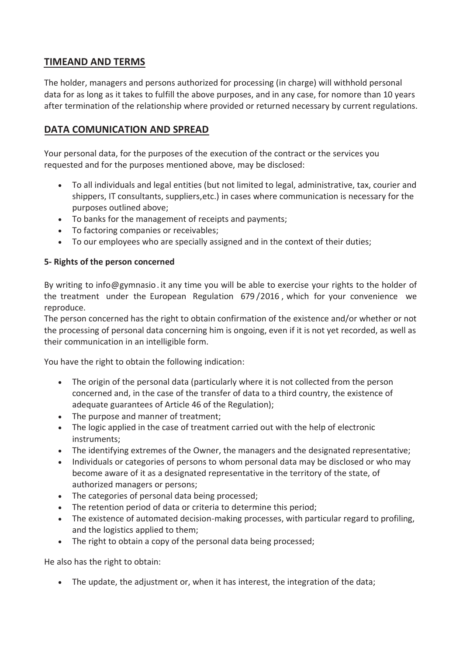### **TIMEAND AND TERMS**

The holder, managers and persons authorized for processing (in charge) will withhold personal data for as long as it takes to fulfill the above purposes, and in any case, for nomore than 10 years after termination of the relationship where provided or returned necessary by current regulations.

### **DATA COMUNICATION AND SPREAD**

Your personal data, for the purposes of the execution of the contract or the services you requested and for the purposes mentioned above, may be disclosed:

- To all individuals and legal entities (but not limited to legal, administrative, tax, courier and shippers, IT consultants, suppliers,etc.) in cases where communication is necessary for the purposes outlined above;
- To banks for the management of receipts and payments;
- To factoring companies or receivables;
- To our employees who are specially assigned and in the context of their duties;

#### **5- Rights of the person concerned**

By writing to info@gymnasio. it any time you will be able to exercise your rights to the holder of the treatment under the European Regulation 679 /2016 , which for your convenience we reproduce.

The person concerned has the right to obtain confirmation of the existence and/or whether or not the processing of personal data concerning him is ongoing, even if it is not yet recorded, as well as their communication in an intelligible form.

You have the right to obtain the following indication:

- The origin of the personal data (particularly where it is not collected from the person concerned and, in the case of the transfer of data to a third country, the existence of adequate guarantees of Article 46 of the Regulation);
- The purpose and manner of treatment;
- The logic applied in the case of treatment carried out with the help of electronic instruments;
- The identifying extremes of the Owner, the managers and the designated representative;
- Individuals or categories of persons to whom personal data may be disclosed or who may become aware of it as a designated representative in the territory of the state, of authorized managers or persons;
- The categories of personal data being processed;
- The retention period of data or criteria to determine this period;
- The existence of automated decision-making processes, with particular regard to profiling, and the logistics applied to them;
- The right to obtain a copy of the personal data being processed;

He also has the right to obtain:

The update, the adjustment or, when it has interest, the integration of the data;